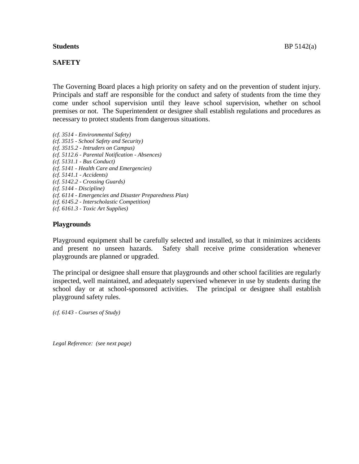### **SAFETY**

The Governing Board places a high priority on safety and on the prevention of student injury. Principals and staff are responsible for the conduct and safety of students from the time they come under school supervision until they leave school supervision, whether on school premises or not. The Superintendent or designee shall establish regulations and procedures as necessary to protect students from dangerous situations.

*(cf. 3514 - Environmental Safety) (cf. 3515 - School Safety and Security) (cf. 3515.2 - Intruders on Campus) (cf. 5112.6 - Parental Notification - Absences) (cf. 5131.1 - Bus Conduct) (cf. 5141 - Health Care and Emergencies) (cf. 5141.1 - Accidents) (cf. 5142.2 - Crossing Guards) (cf. 5144 - Discipline) (cf. 6114 - Emergencies and Disaster Preparedness Plan) (cf. 6145.2 - Interscholastic Competition) (cf. 6161.3 - Toxic Art Supplies)*

#### **Playgrounds**

Playground equipment shall be carefully selected and installed, so that it minimizes accidents and present no unseen hazards. Safety shall receive prime consideration whenever playgrounds are planned or upgraded.

The principal or designee shall ensure that playgrounds and other school facilities are regularly inspected, well maintained, and adequately supervised whenever in use by students during the school day or at school-sponsored activities. The principal or designee shall establish playground safety rules.

*(cf. 6143 - Courses of Study)*

*Legal Reference: (see next page)*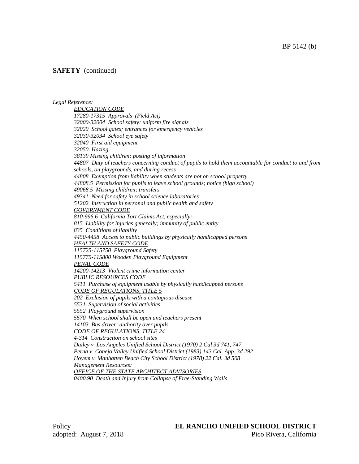### **SAFETY** (continued)

*Legal Reference:* 

*EDUCATION CODE 17280-17315 Approvals (Field Act) 32000-32004 School safety: uniform fire signals 32020 School gates; entrances for emergency vehicles 32030-32034 School eye safety 32040 First aid equipment 32050 Hazing 38139 Missing children; posting of information 44807 Duty of teachers concerning conduct of pupils to hold them accountable for conduct to and from schools, on playgrounds, and during recess 44808 Exemption from liability when students are not on school property 44808.5 Permission for pupils to leave school grounds; notice (high school) 49068.5 Missing children; transfers 49341 Need for safety in school science laboratories 51202 Instruction in personal and public health and safety GOVERNMENT CODE 810-996.6 California Tort Claims Act, especially: 815 Liability for injuries generally; immunity of public entity 835 Conditions of liability 4450-4458 Access to public buildings by physically handicapped persons HEALTH AND SAFETY CODE 115725-115750 Playground Safety 115775-115800 Wooden Playground Equipment PENAL CODE 14200-14213 Violent crime information center PUBLIC RESOURCES CODE 5411 Purchase of equipment usable by physically handicapped persons CODE OF REGULATIONS, TITLE 5 202 Exclusion of pupils with a contagious disease 5531 Supervision of social activities 5552 Playground supervision 5570 When school shall be open and teachers present 14103 Bus driver; authority over pupils CODE OF REGULATIONS, TITLE 24 4-314 Construction on school sites Dailey v. Los Angeles Unified School District (1970) 2 Cal 3d 741, 747 Perna v. Conejo Valley Unified School District (1983) 143 Cal. App. 3d 292 Hoyem v. Manhatten Beach City School District (1978) 22 Cal. 3d 508 Management Resources: OFFICE OF THE STATE ARCHITECT ADVISORIES 0400.90 Death and Injury from Collapse of Free-Standing Walls*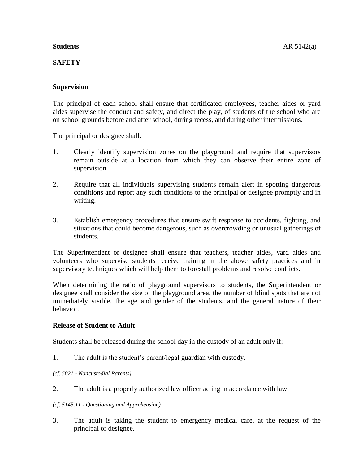## **SAFETY**

## **Supervision**

The principal of each school shall ensure that certificated employees, teacher aides or yard aides supervise the conduct and safety, and direct the play, of students of the school who are on school grounds before and after school, during recess, and during other intermissions.

The principal or designee shall:

- 1. Clearly identify supervision zones on the playground and require that supervisors remain outside at a location from which they can observe their entire zone of supervision.
- 2. Require that all individuals supervising students remain alert in spotting dangerous conditions and report any such conditions to the principal or designee promptly and in writing.
- 3. Establish emergency procedures that ensure swift response to accidents, fighting, and situations that could become dangerous, such as overcrowding or unusual gatherings of students.

The Superintendent or designee shall ensure that teachers, teacher aides, yard aides and volunteers who supervise students receive training in the above safety practices and in supervisory techniques which will help them to forestall problems and resolve conflicts.

When determining the ratio of playground supervisors to students, the Superintendent or designee shall consider the size of the playground area, the number of blind spots that are not immediately visible, the age and gender of the students, and the general nature of their behavior.

## **Release of Student to Adult**

Students shall be released during the school day in the custody of an adult only if:

- 1. The adult is the student's parent/legal guardian with custody.
- *(cf. 5021 - Noncustodial Parents)*
- 2. The adult is a properly authorized law officer acting in accordance with law.
- *(cf. 5145.11 - Questioning and Apprehension)*
- 3. The adult is taking the student to emergency medical care, at the request of the principal or designee.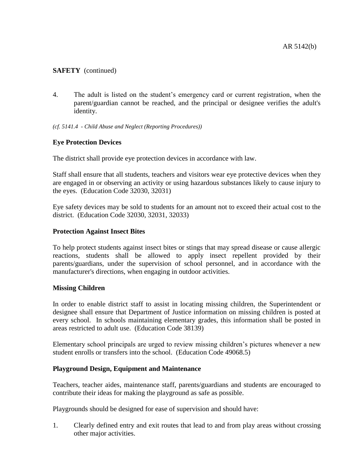## **SAFETY** (continued)

- 4. The adult is listed on the student's emergency card or current registration, when the parent/guardian cannot be reached, and the principal or designee verifies the adult's identity.
- *(cf. 5141.4 - Child Abuse and Neglect (Reporting Procedures))*

## **Eye Protection Devices**

The district shall provide eye protection devices in accordance with law.

Staff shall ensure that all students, teachers and visitors wear eye protective devices when they are engaged in or observing an activity or using hazardous substances likely to cause injury to the eyes. (Education Code 32030, 32031)

Eye safety devices may be sold to students for an amount not to exceed their actual cost to the district. (Education Code 32030, 32031, 32033)

### **Protection Against Insect Bites**

To help protect students against insect bites or stings that may spread disease or cause allergic reactions, students shall be allowed to apply insect repellent provided by their parents/guardians, under the supervision of school personnel, and in accordance with the manufacturer's directions, when engaging in outdoor activities.

## **Missing Children**

In order to enable district staff to assist in locating missing children, the Superintendent or designee shall ensure that Department of Justice information on missing children is posted at every school. In schools maintaining elementary grades, this information shall be posted in areas restricted to adult use. (Education Code 38139)

Elementary school principals are urged to review missing children's pictures whenever a new student enrolls or transfers into the school. (Education Code 49068.5)

## **Playground Design, Equipment and Maintenance**

Teachers, teacher aides, maintenance staff, parents/guardians and students are encouraged to contribute their ideas for making the playground as safe as possible.

Playgrounds should be designed for ease of supervision and should have:

1. Clearly defined entry and exit routes that lead to and from play areas without crossing other major activities.